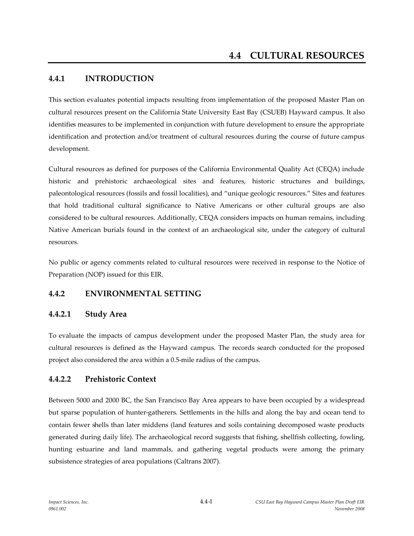# **4.4.1 INTRODUCTION**

This section evaluates potential impacts resulting from implementation of the proposed Master Plan on cultural resources present on the California State University East Bay (CSUEB) Hayward campus. It also identifies measures to be implemented in conjunction with future development to ensure the appropriate identification and protection and/or treatment of cultural resources during the course of future campus development.

Cultural resources as defined for purposes of the California Environmental Quality Act (CEQA) include historic and prehistoric archaeological sites and features, historic structures and buildings, paleontological resources (fossils and fossil localities), and "unique geologic resources." Sites and features that hold traditional cultural significance to Native Americans or other cultural groups are also considered to be cultural resources. Additionally, CEQA considers impacts on human remains, including Native American burials found in the context of an archaeological site, under the category of cultural resources.

No public or agency comments related to cultural resources were received in response to the Notice of Preparation (NOP) issued for this EIR.

## **4.4.2 ENVIRONMENTAL SETTING**

## **4.4.2.1 Study Area**

To evaluate the impacts of campus development under the proposed Master Plan, the study area for cultural resources is defined as the Hayward campus. The records search conducted for the proposed project also considered the area within a 0.5-mile radius of the campus.

## **4.4.2.2 Prehistoric Context**

Between 5000 and 2000 BC, the San Francisco Bay Area appears to have been occupied by a widespread but sparse population of hunter-gatherers. Settlements in the hills and along the bay and ocean tend to contain fewer shells than later middens (land features and soils containing decomposed waste products generated during daily life). The archaeological record suggests that fishing, shellfish collecting, fowling, hunting estuarine and land mammals, and gathering vegetal products were among the primary subsistence strategies of area populations (Caltrans 2007).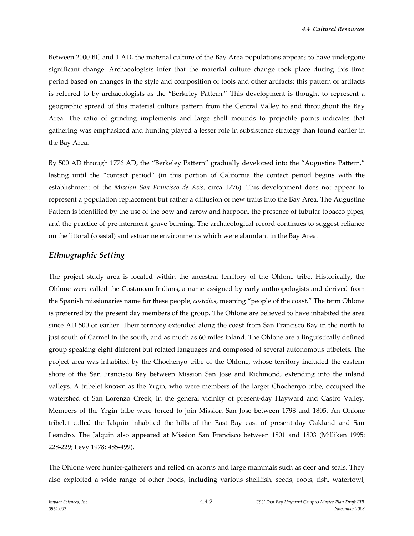*4.4 Cultural Resources*

Between 2000 BC and 1 AD, the material culture of the Bay Area populations appears to have undergone significant change. Archaeologists infer that the material culture change took place during this time period based on changes in the style and composition of tools and other artifacts; this pattern of artifacts is referred to by archaeologists as the "Berkeley Pattern." This development is thought to represent a geographic spread of this material culture pattern from the Central Valley to and throughout the Bay Area. The ratio of grinding implements and large shell mounds to projectile points indicates that gathering was emphasized and hunting played a lesser role in subsistence strategy than found earlier in the Bay Area.

By 500 AD through 1776 AD, the "Berkeley Pattern" gradually developed into the "Augustine Pattern," lasting until the "contact period" (in this portion of California the contact period begins with the establishment of the *Mission San Francisco de Asís*, circa 1776). This development does not appear to represent a population replacement but rather a diffusion of new traits into the Bay Area. The Augustine Pattern is identified by the use of the bow and arrow and harpoon, the presence of tubular tobacco pipes, and the practice of pre-interment grave burning. The archaeological record continues to suggest reliance on the littoral (coastal) and estuarine environments which were abundant in the Bay Area.

#### *Ethnographic Setting*

The project study area is located within the ancestral territory of the Ohlone tribe. Historically, the Ohlone were called the Costanoan Indians, a name assigned by early anthropologists and derived from the Spanish missionaries name for these people, *costaños*, meaning "people of the coast." The term Ohlone is preferred by the present day members of the group. The Ohlone are believed to have inhabited the area since AD 500 or earlier. Their territory extended along the coast from San Francisco Bay in the north to just south of Carmel in the south, and as much as 60 miles inland. The Ohlone are a linguistically defined group speaking eight different but related languages and composed of several autonomous tribelets. The project area was inhabited by the Chochenyo tribe of the Ohlone, whose territory included the eastern shore of the San Francisco Bay between Mission San Jose and Richmond, extending into the inland valleys. A tribelet known as the Yrgin, who were members of the larger Chochenyo tribe, occupied the watershed of San Lorenzo Creek, in the general vicinity of present-day Hayward and Castro Valley. Members of the Yrgin tribe were forced to join Mission San Jose between 1798 and 1805. An Ohlone tribelet called the Jalquin inhabited the hills of the East Bay east of present-day Oakland and San Leandro. The Jalquin also appeared at Mission San Francisco between 1801 and 1803 (Milliken 1995: 228-229; Levy 1978: 485-499).

The Ohlone were hunter-gatherers and relied on acorns and large mammals such as deer and seals. They also exploited a wide range of other foods, including various shellfish, seeds, roots, fish, waterfowl,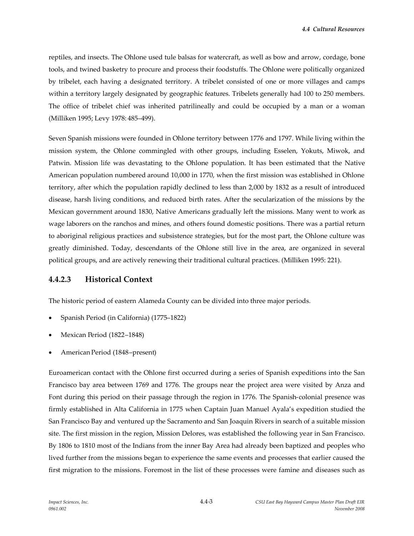reptiles, and insects. The Ohlone used tule balsas for watercraft, as well as bow and arrow, cordage, bone tools, and twined basketry to procure and process their foodstuffs. The Ohlone were politically organized by tribelet, each having a designated territory. A tribelet consisted of one or more villages and camps within a territory largely designated by geographic features. Tribelets generally had 100 to 250 members. The office of tribelet chief was inherited patrilineally and could be occupied by a man or a woman (Milliken 1995; Levy 1978: 485–499).

Seven Spanish missions were founded in Ohlone territory between 1776 and 1797. While living within the mission system, the Ohlone commingled with other groups, including Esselen, Yokuts, Miwok, and Patwin. Mission life was devastating to the Ohlone population. It has been estimated that the Native American population numbered around 10,000 in 1770, when the first mission was established in Ohlone territory, after which the population rapidly declined to less than 2,000 by 1832 as a result of introduced disease, harsh living conditions, and reduced birth rates. After the secularization of the missions by the Mexican government around 1830, Native Americans gradually left the missions. Many went to work as wage laborers on the ranchos and mines, and others found domestic positions. There was a partial return to aboriginal religious practices and subsistence strategies, but for the most part, the Ohlone culture was greatly diminished. Today, descendants of the Ohlone still live in the area, are organized in several political groups, and are actively renewing their traditional cultural practices. (Milliken 1995: 221).

#### **4.4.2.3 Historical Context**

The historic period of eastern Alameda County can be divided into three major periods.

- Spanish Period (in California) (1775–1822)
- Mexican Period (1822–1848)
- American Period (1848–present)

Euroamerican contact with the Ohlone first occurred during a series of Spanish expeditions into the San Francisco bay area between 1769 and 1776. The groups near the project area were visited by Anza and Font during this period on their passage through the region in 1776. The Spanish-colonial presence was firmly established in Alta California in 1775 when Captain Juan Manuel Ayala's expedition studied the San Francisco Bay and ventured up the Sacramento and San Joaquin Rivers in search of a suitable mission site. The first mission in the region, Mission Delores, was established the following year in San Francisco. By 1806 to 1810 most of the Indians from the inner Bay Area had already been baptized and peoples who lived further from the missions began to experience the same events and processes that earlier caused the first migration to the missions. Foremost in the list of these processes were famine and diseases such as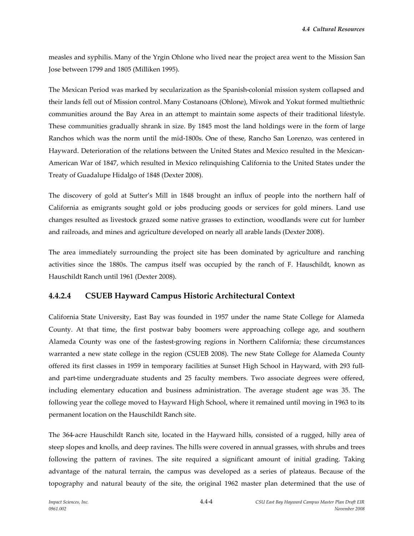measles and syphilis. Many of the Yrgin Ohlone who lived near the project area went to the Mission San Jose between 1799 and 1805 (Milliken 1995).

The Mexican Period was marked by secularization as the Spanish-colonial mission system collapsed and their lands fell out of Mission control. Many Costanoans (Ohlone), Miwok and Yokut formed multiethnic communities around the Bay Area in an attempt to maintain some aspects of their traditional lifestyle. These communities gradually shrank in size. By 1845 most the land holdings were in the form of large Ranchos which was the norm until the mid-1800s. One of these, Rancho San Lorenzo, was centered in Hayward. Deterioration of the relations between the United States and Mexico resulted in the Mexican-American War of 1847, which resulted in Mexico relinquishing California to the United States under the Treaty of Guadalupe Hidalgo of 1848 (Dexter 2008).

The discovery of gold at Sutter's Mill in 1848 brought an influx of people into the northern half of California as emigrants sought gold or jobs producing goods or services for gold miners. Land use changes resulted as livestock grazed some native grasses to extinction, woodlands were cut for lumber and railroads, and mines and agriculture developed on nearly all arable lands (Dexter 2008).

The area immediately surrounding the project site has been dominated by agriculture and ranching activities since the 1880s. The campus itself was occupied by the ranch of F. Hauschildt, known as Hauschildt Ranch until 1961 (Dexter 2008).

## **4.4.2.4 CSUEB Hayward Campus Historic Architectural Context**

California State University, East Bay was founded in 1957 under the name State College for Alameda County. At that time, the first postwar baby boomers were approaching college age, and southern Alameda County was one of the fastest-growing regions in Northern California; these circumstances warranted a new state college in the region (CSUEB 2008). The new State College for Alameda County offered its first classes in 1959 in temporary facilities at Sunset High School in Hayward, with 293 fulland part-time undergraduate students and 25 faculty members. Two associate degrees were offered, including elementary education and business administration. The average student age was 35. The following year the college moved to Hayward High School, where it remained until moving in 1963 to its permanent location on the Hauschildt Ranch site.

The 364-acre Hauschildt Ranch site, located in the Hayward hills, consisted of a rugged, hilly area of steep slopes and knolls, and deep ravines. The hills were covered in annual grasses, with shrubs and trees following the pattern of ravines. The site required a significant amount of initial grading. Taking advantage of the natural terrain, the campus was developed as a series of plateaus. Because of the topography and natural beauty of the site, the original 1962 master plan determined that the use of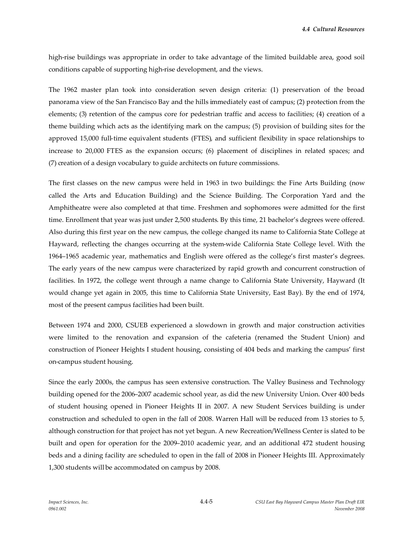*4.4 Cultural Resources*

high-rise buildings was appropriate in order to take advantage of the limited buildable area, good soil conditions capable of supporting high-rise development, and the views.

The 1962 master plan took into consideration seven design criteria: (1) preservation of the broad panorama view of the San Francisco Bay and the hills immediately east of campus; (2) protection from the elements; (3) retention of the campus core for pedestrian traffic and access to facilities; (4) creation of a theme building which acts as the identifying mark on the campus; (5) provision of building sites for the approved 15,000 full-time equivalent students (FTES), and sufficient flexibility in space relationships to increase to 20,000 FTES as the expansion occurs; (6) placement of disciplines in related spaces; and (7) creation of a design vocabulary to guide architects on future commissions.

The first classes on the new campus were held in 1963 in two buildings: the Fine Arts Building (now called the Arts and Education Building) and the Science Building. The Corporation Yard and the Amphitheatre were also completed at that time. Freshmen and sophomores were admitted for the first time. Enrollment that year was just under 2,500 students. By this time, 21 bachelor's degrees were offered. Also during this first year on the new campus, the college changed its name to California State College at Hayward, reflecting the changes occurring at the system-wide California State College level. With the 1964–1965 academic year, mathematics and English were offered as the college's first master's degrees. The early years of the new campus were characterized by rapid growth and concurrent construction of facilities. In 1972, the college went through a name change to California State University, Hayward (It would change yet again in 2005, this time to California State University, East Bay). By the end of 1974, most of the present campus facilities had been built.

Between 1974 and 2000, CSUEB experienced a slowdown in growth and major construction activities were limited to the renovation and expansion of the cafeteria (renamed the Student Union) and construction of Pioneer Heights I student housing, consisting of 404 beds and marking the campus' first on-campus student housing.

Since the early 2000s, the campus has seen extensive construction. The Valley Business and Technology building opened for the 2006–2007 academic school year, as did the new University Union. Over 400 beds of student housing opened in Pioneer Heights II in 2007. A new Student Services building is under construction and scheduled to open in the fall of 2008. Warren Hall will be reduced from 13 stories to 5, although construction for that project has not yet begun. A new Recreation/Wellness Center is slated to be built and open for operation for the 2009–2010 academic year, and an additional 472 student housing beds and a dining facility are scheduled to open in the fall of 2008 in Pioneer Heights III. Approximately 1,300 students will be accommodated on campus by 2008.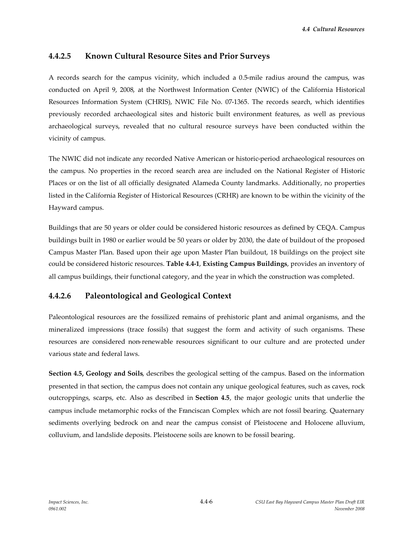#### **4.4.2.5 Known Cultural Resource Sites and Prior Surveys**

A records search for the campus vicinity, which included a 0.5-mile radius around the campus, was conducted on April 9, 2008, at the Northwest Information Center (NWIC) of the California Historical Resources Information System (CHRIS), NWIC File No. 07-1365. The records search, which identifies previously recorded archaeological sites and historic built environment features, as well as previous archaeological surveys, revealed that no cultural resource surveys have been conducted within the vicinity of campus.

The NWIC did not indicate any recorded Native American or historic-period archaeological resources on the campus. No properties in the record search area are included on the National Register of Historic Places or on the list of all officially designated Alameda County landmarks. Additionally, no properties listed in the California Register of Historical Resources (CRHR) are known to be within the vicinity of the Hayward campus.

Buildings that are 50 years or older could be considered historic resources as defined by CEQA. Campus buildings built in 1980 or earlier would be 50 years or older by 2030, the date of buildout of the proposed Campus Master Plan. Based upon their age upon Master Plan buildout, 18 buildings on the project site could be considered historic resources. **Table 4.4-1**, **Existing Campus Buildings**, provides an inventory of all campus buildings, their functional category, and the year in which the construction was completed.

## **4.4.2.6 Paleontological and Geological Context**

Paleontological resources are the fossilized remains of prehistoric plant and animal organisms, and the mineralized impressions (trace fossils) that suggest the form and activity of such organisms. These resources are considered non-renewable resources significant to our culture and are protected under various state and federal laws.

**Section 4.5, Geology and Soils**, describes the geological setting of the campus. Based on the information presented in that section, the campus does not contain any unique geological features, such as caves, rock outcroppings, scarps, etc. Also as described in **Section 4.5**, the major geologic units that underlie the campus include metamorphic rocks of the Franciscan Complex which are not fossil bearing. Quaternary sediments overlying bedrock on and near the campus consist of Pleistocene and Holocene alluvium, colluvium, and landslide deposits. Pleistocene soils are known to be fossil bearing.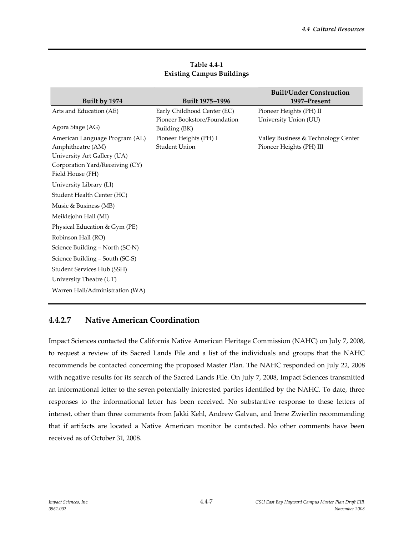|                                                     |                                               | <b>Built/Under Construction</b>     |
|-----------------------------------------------------|-----------------------------------------------|-------------------------------------|
| Built by 1974                                       | Built 1975-1996                               | 1997-Present                        |
| Arts and Education (AE)                             | Early Childhood Center (EC)                   | Pioneer Heights (PH) II             |
| Agora Stage (AG)                                    | Pioneer Bookstore/Foundation<br>Building (BK) | University Union (UU)               |
| American Language Program (AL)                      | Pioneer Heights (PH) I                        | Valley Business & Technology Center |
| Amphitheatre (AM)                                   | <b>Student Union</b>                          | Pioneer Heights (PH) III            |
| University Art Gallery (UA)                         |                                               |                                     |
| Corporation Yard/Receiving (CY)<br>Field House (FH) |                                               |                                     |
| University Library (LI)                             |                                               |                                     |
| Student Health Center (HC)                          |                                               |                                     |
| Music & Business (MB)                               |                                               |                                     |
| Meiklejohn Hall (MI)                                |                                               |                                     |
| Physical Education & Gym (PE)                       |                                               |                                     |
| Robinson Hall (RO)                                  |                                               |                                     |
| Science Building - North (SC-N)                     |                                               |                                     |
| Science Building - South (SC-S)                     |                                               |                                     |
| Student Services Hub (SSH)                          |                                               |                                     |
| University Theatre (UT)                             |                                               |                                     |
| Warren Hall/Administration (WA)                     |                                               |                                     |

**Table 4.4-1 Existing Campus Buildings**

# **4.4.2.7 Native American Coordination**

Impact Sciences contacted the California Native American Heritage Commission (NAHC) on July 7, 2008, to request a review of its Sacred Lands File and a list of the individuals and groups that the NAHC recommends be contacted concerning the proposed Master Plan. The NAHC responded on July 22, 2008 with negative results for its search of the Sacred Lands File. On July 7, 2008, Impact Sciences transmitted an informational letter to the seven potentially interested parties identified by the NAHC. To date, three responses to the informational letter has been received. No substantive response to these letters of interest, other than three comments from Jakki Kehl, Andrew Galvan, and Irene Zwierlin recommending that if artifacts are located a Native American monitor be contacted. No other comments have been received as of October 31, 2008.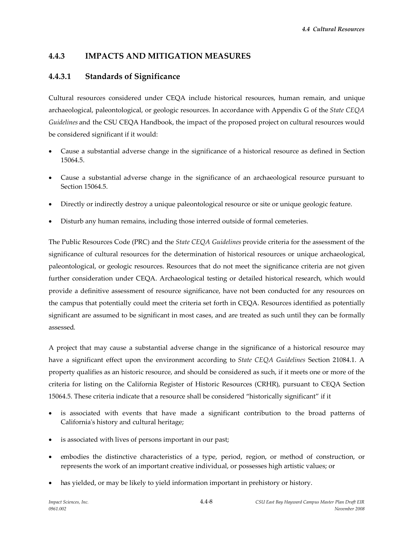## **4.4.3 IMPACTS AND MITIGATION MEASURES**

#### **4.4.3.1 Standards of Significance**

Cultural resources considered under CEQA include historical resources, human remain, and unique archaeological, paleontological, or geologic resources. In accordance with Appendix G of the *State CEQA Guidelines* and the CSU CEQA Handbook, the impact of the proposed project on cultural resources would be considered significant if it would:

- Cause a substantial adverse change in the significance of a historical resource as defined in Section 15064.5.
- Cause a substantial adverse change in the significance of an archaeological resource pursuant to Section 15064.5.
- Directly or indirectly destroy a unique paleontological resource or site or unique geologic feature.
- Disturb any human remains, including those interred outside of formal cemeteries.

The Public Resources Code (PRC) and the *State CEQA Guidelines* provide criteria for the assessment of the significance of cultural resources for the determination of historical resources or unique archaeological, paleontological, or geologic resources. Resources that do not meet the significance criteria are not given further consideration under CEQA. Archaeological testing or detailed historical research, which would provide a definitive assessment of resource significance, have not been conducted for any resources on the campus that potentially could meet the criteria set forth in CEQA. Resources identified as potentially significant are assumed to be significant in most cases, and are treated as such until they can be formally assessed.

A project that may cause a substantial adverse change in the significance of a historical resource may have a significant effect upon the environment according to *State CEQA Guidelines* Section 21084.1. A property qualifies as an historic resource, and should be considered as such, if it meets one or more of the criteria for listing on the California Register of Historic Resources (CRHR), pursuant to CEQA Section 15064.5. These criteria indicate that a resource shall be considered "historically significant" if it

- is associated with events that have made a significant contribution to the broad patterns of California's history and cultural heritage;
- is associated with lives of persons important in our past;
- embodies the distinctive characteristics of a type, period, region, or method of construction, or represents the work of an important creative individual, or possesses high artistic values; or
- has yielded, or may be likely to yield information important in prehistory or history.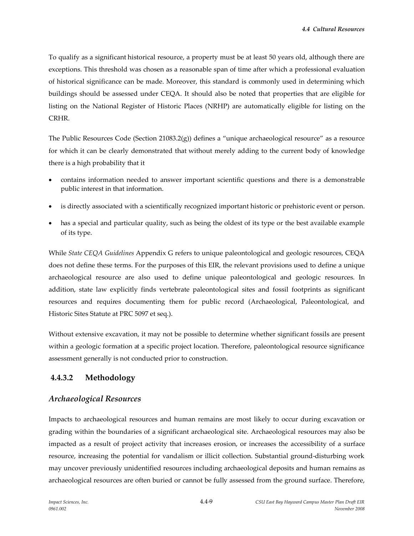To qualify as a significant historical resource, a property must be at least 50 years old, although there are exceptions. This threshold was chosen as a reasonable span of time after which a professional evaluation of historical significance can be made. Moreover, this standard is commonly used in determining which buildings should be assessed under CEQA. It should also be noted that properties that are eligible for listing on the National Register of Historic Places (NRHP) are automatically eligible for listing on the CRHR.

The Public Resources Code (Section 21083.2(g)) defines a "unique archaeological resource" as a resource for which it can be clearly demonstrated that without merely adding to the current body of knowledge there is a high probability that it

- contains information needed to answer important scientific questions and there is a demonstrable public interest in that information.
- is directly associated with a scientifically recognized important historic or prehistoric event or person.
- has a special and particular quality, such as being the oldest of its type or the best available example of its type.

While *State CEQA Guidelines* Appendix G refers to unique paleontological and geologic resources, CEQA does not define these terms. For the purposes of this EIR, the relevant provisions used to define a unique archaeological resource are also used to define unique paleontological and geologic resources. In addition, state law explicitly finds vertebrate paleontological sites and fossil footprints as significant resources and requires documenting them for public record (Archaeological, Paleontological, and Historic Sites Statute at PRC 5097 et seq.).

Without extensive excavation, it may not be possible to determine whether significant fossils are present within a geologic formation at a specific project location. Therefore, paleontological resource significance assessment generally is not conducted prior to construction.

## **4.4.3.2 Methodology**

## *Archaeological Resources*

Impacts to archaeological resources and human remains are most likely to occur during excavation or grading within the boundaries of a significant archaeological site. Archaeological resources may also be impacted as a result of project activity that increases erosion, or increases the accessibility of a surface resource, increasing the potential for vandalism or illicit collection. Substantial ground-disturbing work may uncover previously unidentified resources including archaeological deposits and human remains as archaeological resources are often buried or cannot be fully assessed from the ground surface. Therefore,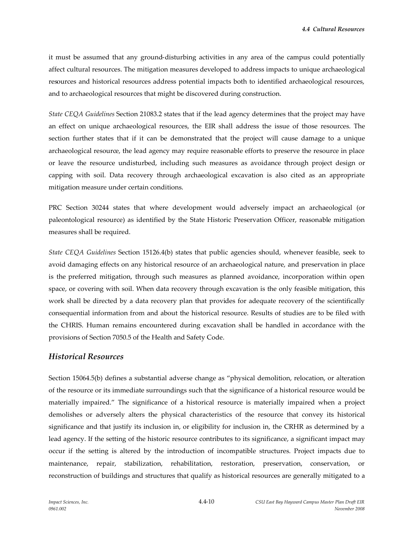it must be assumed that any ground-disturbing activities in any area of the campus could potentially affect cultural resources. The mitigation measures developed to address impacts to unique archaeological resources and historical resources address potential impacts both to identified archaeological resources, and to archaeological resources that might be discovered during construction.

*State CEQA Guidelines* Section 21083.2 states that if the lead agency determines that the project may have an effect on unique archaeological resources, the EIR shall address the issue of those resources. The section further states that if it can be demonstrated that the project will cause damage to a unique archaeological resource, the lead agency may require reasonable efforts to preserve the resource in place or leave the resource undisturbed, including such measures as avoidance through project design or capping with soil. Data recovery through archaeological excavation is also cited as an appropriate mitigation measure under certain conditions.

PRC Section 30244 states that where development would adversely impact an archaeological (or paleontological resource) as identified by the State Historic Preservation Officer, reasonable mitigation measures shall be required.

*State CEQA Guidelines* Section 15126.4(b) states that public agencies should, whenever feasible, seek to avoid damaging effects on any historical resource of an archaeological nature, and preservation in place is the preferred mitigation, through such measures as planned avoidance, incorporation within open space, or covering with soil. When data recovery through excavation is the only feasible mitigation, this work shall be directed by a data recovery plan that provides for adequate recovery of the scientifically consequential information from and about the historical resource. Results of studies are to be filed with the CHRIS. Human remains encountered during excavation shall be handled in accordance with the provisions of Section 7050.5 of the Health and Safety Code.

#### *Historical Resources*

Section 15064.5(b) defines a substantial adverse change as "physical demolition, relocation, or alteration of the resource or its immediate surroundings such that the significance of a historical resource would be materially impaired." The significance of a historical resource is materially impaired when a project demolishes or adversely alters the physical characteristics of the resource that convey its historical significance and that justify its inclusion in, or eligibility for inclusion in, the CRHR as determined by a lead agency. If the setting of the historic resource contributes to its significance, a significant impact may occur if the setting is altered by the introduction of incompatible structures. Project impacts due to maintenance, repair, stabilization, rehabilitation, restoration, preservation, conservation, or reconstruction of buildings and structures that qualify as historical resources are generally mitigated to a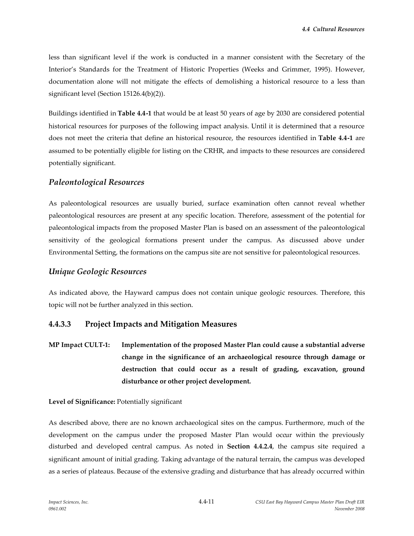less than significant level if the work is conducted in a manner consistent with the Secretary of the Interior's Standards for the Treatment of Historic Properties (Weeks and Grimmer, 1995). However, documentation alone will not mitigate the effects of demolishing a historical resource to a less than significant level (Section 15126.4(b)(2)).

Buildings identified in **Table 4.4-1** that would be at least 50 years of age by 2030 are considered potential historical resources for purposes of the following impact analysis. Until it is determined that a resource does not meet the criteria that define an historical resource, the resources identified in **Table 4.4-1** are assumed to be potentially eligible for listing on the CRHR, and impacts to these resources are considered potentially significant.

#### *Paleontological Resources*

As paleontological resources are usually buried, surface examination often cannot reveal whether paleontological resources are present at any specific location. Therefore, assessment of the potential for paleontological impacts from the proposed Master Plan is based on an assessment of the paleontological sensitivity of the geological formations present under the campus. As discussed above under Environmental Setting, the formations on the campus site are not sensitive for paleontological resources.

#### *Unique Geologic Resources*

As indicated above, the Hayward campus does not contain unique geologic resources. Therefore, this topic will not be further analyzed in this section.

## **4.4.3.3 Project Impacts and Mitigation Measures**

**MP Impact CULT-1: Implementation of the proposed Master Plan could cause a substantial adverse change in the significance of an archaeological resource through damage or destruction that could occur as a result of grading, excavation, ground disturbance or other project development.**

#### **Level of Significance:** Potentially significant

As described above, there are no known archaeological sites on the campus. Furthermore, much of the development on the campus under the proposed Master Plan would occur within the previously disturbed and developed central campus. As noted in **Section 4.4.2.4**, the campus site required a significant amount of initial grading. Taking advantage of the natural terrain, the campus was developed as a series of plateaus. Because of the extensive grading and disturbance that has already occurred within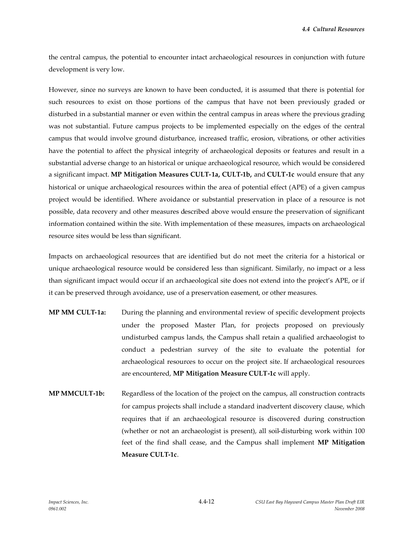the central campus, the potential to encounter intact archaeological resources in conjunction with future development is very low.

However, since no surveys are known to have been conducted, it is assumed that there is potential for such resources to exist on those portions of the campus that have not been previously graded or disturbed in a substantial manner or even within the central campus in areas where the previous grading was not substantial. Future campus projects to be implemented especially on the edges of the central campus that would involve ground disturbance, increased traffic, erosion, vibrations, or other activities have the potential to affect the physical integrity of archaeological deposits or features and result in a substantial adverse change to an historical or unique archaeological resource, which would be considered a significant impact. **MP Mitigation Measures CULT-1a, CULT-1b,** and **CULT-1c** would ensure that any historical or unique archaeological resources within the area of potential effect (APE) of a given campus project would be identified. Where avoidance or substantial preservation in place of a resource is not possible, data recovery and other measures described above would ensure the preservation of significant information contained within the site. With implementation of these measures, impacts on archaeological resource sites would be less than significant.

Impacts on archaeological resources that are identified but do not meet the criteria for a historical or unique archaeological resource would be considered less than significant. Similarly, no impact or a less than significant impact would occur if an archaeological site does not extend into the project's APE, or if it can be preserved through avoidance, use of a preservation easement, or other measures.

- **MP MM CULT-1a:** During the planning and environmental review of specific development projects under the proposed Master Plan, for projects proposed on previously undisturbed campus lands, the Campus shall retain a qualified archaeologist to conduct a pedestrian survey of the site to evaluate the potential for archaeological resources to occur on the project site. If archaeological resources are encountered, **MP Mitigation Measure CULT-1c** will apply.
- **MP MMCULT-1b:** Regardless of the location of the project on the campus, all construction contracts for campus projects shall include a standard inadvertent discovery clause, which requires that if an archaeological resource is discovered during construction (whether or not an archaeologist is present), all soil-disturbing work within 100 feet of the find shall cease, and the Campus shall implement **MP Mitigation Measure CULT-1c**.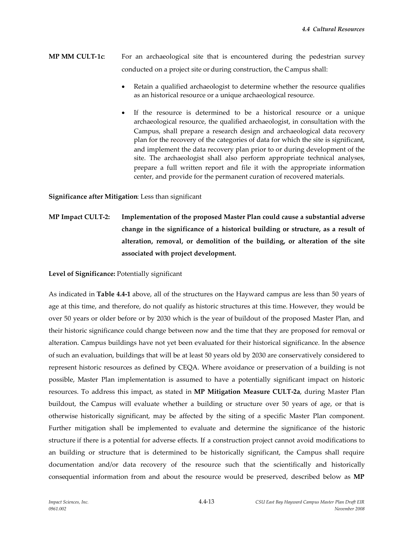- **MP MM CULT-1c**: For an archaeological site that is encountered during the pedestrian survey conducted on a project site or during construction, the Campus shall:
	- Retain a qualified archaeologist to determine whether the resource qualifies as an historical resource or a unique archaeological resource.
	- If the resource is determined to be a historical resource or a unique archaeological resource, the qualified archaeologist, in consultation with the Campus, shall prepare a research design and archaeological data recovery plan for the recovery of the categories of data for which the site is significant, and implement the data recovery plan prior to or during development of the site. The archaeologist shall also perform appropriate technical analyses, prepare a full written report and file it with the appropriate information center, and provide for the permanent curation of recovered materials.

**Significance after Mitigation**: Less than significant

**MP Impact CULT-2: Implementation of the proposed Master Plan could cause a substantial adverse change in the significance of a historical building or structure, as a result of alteration, removal, or demolition of the building, or alteration of the site associated with project development.**

**Level of Significance:** Potentially significant

As indicated in **Table 4.4-1** above, all of the structures on the Hayward campus are less than 50 years of age at this time, and therefore, do not qualify as historic structures at this time. However, they would be over 50 years or older before or by 2030 which is the year of buildout of the proposed Master Plan, and their historic significance could change between now and the time that they are proposed for removal or alteration. Campus buildings have not yet been evaluated for their historical significance. In the absence of such an evaluation, buildings that will be at least 50 years old by 2030 are conservatively considered to represent historic resources as defined by CEQA. Where avoidance or preservation of a building is not possible, Master Plan implementation is assumed to have a potentially significant impact on historic resources. To address this impact, as stated in **MP Mitigation Measure CULT-2a**, during Master Plan buildout, the Campus will evaluate whether a building or structure over 50 years of age, or that is otherwise historically significant, may be affected by the siting of a specific Master Plan component. Further mitigation shall be implemented to evaluate and determine the significance of the historic structure if there is a potential for adverse effects. If a construction project cannot avoid modifications to an building or structure that is determined to be historically significant, the Campus shall require documentation and/or data recovery of the resource such that the scientifically and historically consequential information from and about the resource would be preserved, described below as **MP**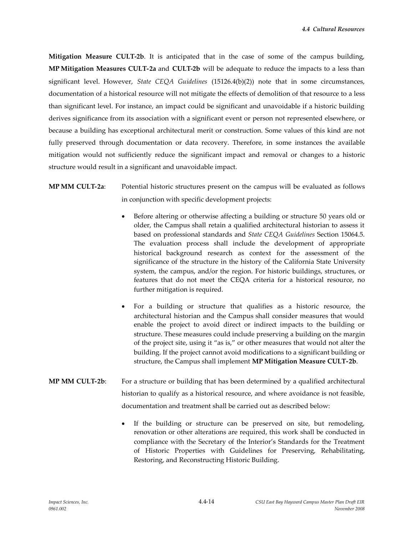**Mitigation Measure CULT-2b**. It is anticipated that in the case of some of the campus building, **MP Mitigation Measures CULT-2a** and **CULT-2b** will be adequate to reduce the impacts to a less than significant level. However, *State CEQA Guidelines* (15126.4(b)(2)) note that in some circumstances, documentation of a historical resource will not mitigate the effects of demolition of that resource to a less than significant level. For instance, an impact could be significant and unavoidable if a historic building derives significance from its association with a significant event or person not represented elsewhere, or because a building has exceptional architectural merit or construction. Some values of this kind are not fully preserved through documentation or data recovery. Therefore, in some instances the available mitigation would not sufficiently reduce the significant impact and removal or changes to a historic structure would result in a significant and unavoidable impact.

# **MP MM CULT-2a**: Potential historic structures present on the campus will be evaluated as follows in conjunction with specific development projects:

- Before altering or otherwise affecting a building or structure 50 years old or older, the Campus shall retain a qualified architectural historian to assess it based on professional standards and *State CEQA Guidelines* Section 15064.5. The evaluation process shall include the development of appropriate historical background research as context for the assessment of the significance of the structure in the history of the California State University system, the campus, and/or the region. For historic buildings, structures, or features that do not meet the CEQA criteria for a historical resource, no further mitigation is required.
- For a building or structure that qualifies as a historic resource, the architectural historian and the Campus shall consider measures that would enable the project to avoid direct or indirect impacts to the building or structure. These measures could include preserving a building on the margin of the project site, using it "as is," or other measures that would not alter the building. If the project cannot avoid modifications to a significant building or structure, the Campus shall implement **MP Mitigation Measure CULT-2b**.
- **MP MM CULT-2b**: For a structure or building that has been determined by a qualified architectural historian to qualify as a historical resource, and where avoidance is not feasible, documentation and treatment shall be carried out as described below:
	- If the building or structure can be preserved on site, but remodeling, renovation or other alterations are required, this work shall be conducted in compliance with the Secretary of the Interior's Standards for the Treatment of Historic Properties with Guidelines for Preserving, Rehabilitating, Restoring, and Reconstructing Historic Building.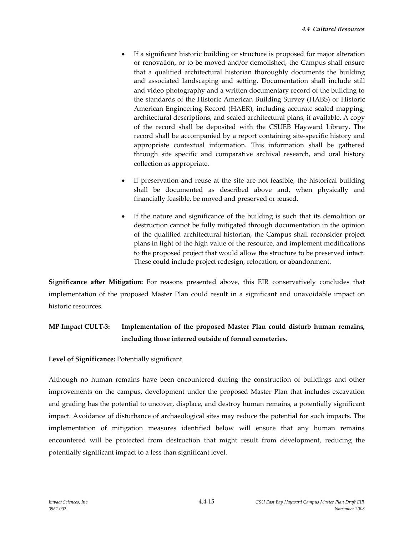- If a significant historic building or structure is proposed for major alteration or renovation, or to be moved and/or demolished, the Campus shall ensure that a qualified architectural historian thoroughly documents the building and associated landscaping and setting. Documentation shall include still and video photography and a written documentary record of the building to the standards of the Historic American Building Survey (HABS) or Historic American Engineering Record (HAER), including accurate scaled mapping, architectural descriptions, and scaled architectural plans, if available. A copy of the record shall be deposited with the CSUEB Hayward Library. The record shall be accompanied by a report containing site-specific history and appropriate contextual information. This information shall be gathered through site specific and comparative archival research, and oral history collection as appropriate.
- If preservation and reuse at the site are not feasible, the historical building shall be documented as described above and, when physically and financially feasible, be moved and preserved or reused.
- If the nature and significance of the building is such that its demolition or destruction cannot be fully mitigated through documentation in the opinion of the qualified architectural historian, the Campus shall reconsider project plans in light of the high value of the resource, and implement modifications to the proposed project that would allow the structure to be preserved intact. These could include project redesign, relocation, or abandonment.

**Significance after Mitigation:** For reasons presented above, this EIR conservatively concludes that implementation of the proposed Master Plan could result in a significant and unavoidable impact on historic resources.

# **MP Impact CULT-3: Implementation of the proposed Master Plan could disturb human remains, including those interred outside of formal cemeteries.**

#### **Level of Significance:** Potentially significant

Although no human remains have been encountered during the construction of buildings and other improvements on the campus, development under the proposed Master Plan that includes excavation and grading has the potential to uncover, displace, and destroy human remains, a potentially significant impact. Avoidance of disturbance of archaeological sites may reduce the potential for such impacts. The implementation of mitigation measures identified below will ensure that any human remains encountered will be protected from destruction that might result from development, reducing the potentially significant impact to a less than significant level.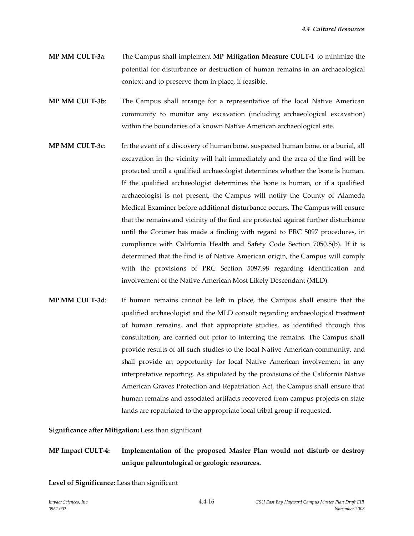- **MP MM CULT-3a**: The Campus shall implement **MP Mitigation Measure CULT-1** to minimize the potential for disturbance or destruction of human remains in an archaeological context and to preserve them in place, if feasible.
- **MP MM CULT-3b**: The Campus shall arrange for a representative of the local Native American community to monitor any excavation (including archaeological excavation) within the boundaries of a known Native American archaeological site.
- **MP MM CULT-3c**: In the event of a discovery of human bone, suspected human bone, or a burial, all excavation in the vicinity will halt immediately and the area of the find will be protected until a qualified archaeologist determines whether the bone is human. If the qualified archaeologist determines the bone is human, or if a qualified archaeologist is not present, the Campus will notify the County of Alameda Medical Examiner before additional disturbance occurs. The Campus will ensure that the remains and vicinity of the find are protected against further disturbance until the Coroner has made a finding with regard to PRC 5097 procedures, in compliance with California Health and Safety Code Section 7050.5(b). If it is determined that the find is of Native American origin, the Campus will comply with the provisions of PRC Section 5097.98 regarding identification and involvement of the Native American Most Likely Descendant (MLD).
- **MP MM CULT-3d**: If human remains cannot be left in place, the Campus shall ensure that the qualified archaeologist and the MLD consult regarding archaeological treatment of human remains, and that appropriate studies, as identified through this consultation, are carried out prior to interring the remains. The Campus shall provide results of all such studies to the local Native American community, and shall provide an opportunity for local Native American involvement in any interpretative reporting. As stipulated by the provisions of the California Native American Graves Protection and Repatriation Act, the Campus shall ensure that human remains and associated artifacts recovered from campus projects on state lands are repatriated to the appropriate local tribal group if requested.

**Significance after Mitigation:** Less than significant

# **MP Impact CULT-4: Implementation of the proposed Master Plan would not disturb or destroy unique paleontological or geologic resources.**

**Level of Significance:** Less than significant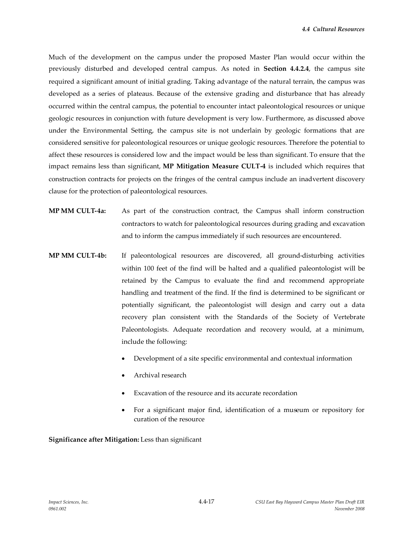Much of the development on the campus under the proposed Master Plan would occur within the previously disturbed and developed central campus. As noted in **Section 4.4.2.4**, the campus site required a significant amount of initial grading. Taking advantage of the natural terrain, the campus was developed as a series of plateaus. Because of the extensive grading and disturbance that has already occurred within the central campus, the potential to encounter intact paleontological resources or unique geologic resources in conjunction with future development is very low. Furthermore, as discussed above under the Environmental Setting, the campus site is not underlain by geologic formations that are considered sensitive for paleontological resources or unique geologic resources. Therefore the potential to affect these resources is considered low and the impact would be less than significant. To ensure that the impact remains less than significant, **MP Mitigation Measure CULT-4** is included which requires that construction contracts for projects on the fringes of the central campus include an inadvertent discovery clause for the protection of paleontological resources.

- **MP MM CULT-4a:** As part of the construction contract, the Campus shall inform construction contractors to watch for paleontological resources during grading and excavation and to inform the campus immediately if such resources are encountered.
- **MP MM CULT-4b:** If paleontological resources are discovered, all ground-disturbing activities within 100 feet of the find will be halted and a qualified paleontologist will be retained by the Campus to evaluate the find and recommend appropriate handling and treatment of the find. If the find is determined to be significant or potentially significant, the paleontologist will design and carry out a data recovery plan consistent with the Standards of the Society of Vertebrate Paleontologists. Adequate recordation and recovery would, at a minimum, include the following:
	- Development of a site specific environmental and contextual information
	- Archival research
	- Excavation of the resource and its accurate recordation
	- For a significant major find, identification of a museum or repository for curation of the resource

**Significance after Mitigation:** Less than significant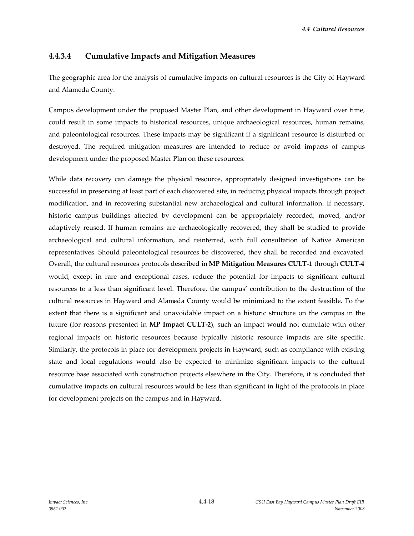*4.4 Cultural Resources*

#### **4.4.3.4 Cumulative Impacts and Mitigation Measures**

The geographic area for the analysis of cumulative impacts on cultural resources is the City of Hayward and Alameda County.

Campus development under the proposed Master Plan, and other development in Hayward over time, could result in some impacts to historical resources, unique archaeological resources, human remains, and paleontological resources. These impacts may be significant if a significant resource is disturbed or destroyed. The required mitigation measures are intended to reduce or avoid impacts of campus development under the proposed Master Plan on these resources.

While data recovery can damage the physical resource, appropriately designed investigations can be successful in preserving at least part of each discovered site, in reducing physical impacts through project modification, and in recovering substantial new archaeological and cultural information. If necessary, historic campus buildings affected by development can be appropriately recorded, moved, and/or adaptively reused. If human remains are archaeologically recovered, they shall be studied to provide archaeological and cultural information, and reinterred, with full consultation of Native American representatives. Should paleontological resources be discovered, they shall be recorded and excavated. Overall, the cultural resources protocols described in **MP Mitigation Measures CULT-1** through **CULT-4** would, except in rare and exceptional cases, reduce the potential for impacts to significant cultural resources to a less than significant level. Therefore, the campus' contribution to the destruction of the cultural resources in Hayward and Alameda County would be minimized to the extent feasible. To the extent that there is a significant and unavoidable impact on a historic structure on the campus in the future (for reasons presented in **MP Impact CULT-2**), such an impact would not cumulate with other regional impacts on historic resources because typically historic resource impacts are site specific. Similarly, the protocols in place for development projects in Hayward, such as compliance with existing state and local regulations would also be expected to minimize significant impacts to the cultural resource base associated with construction projects elsewhere in the City. Therefore, it is concluded that cumulative impacts on cultural resources would be less than significant in light of the protocols in place for development projects on the campus and in Hayward.